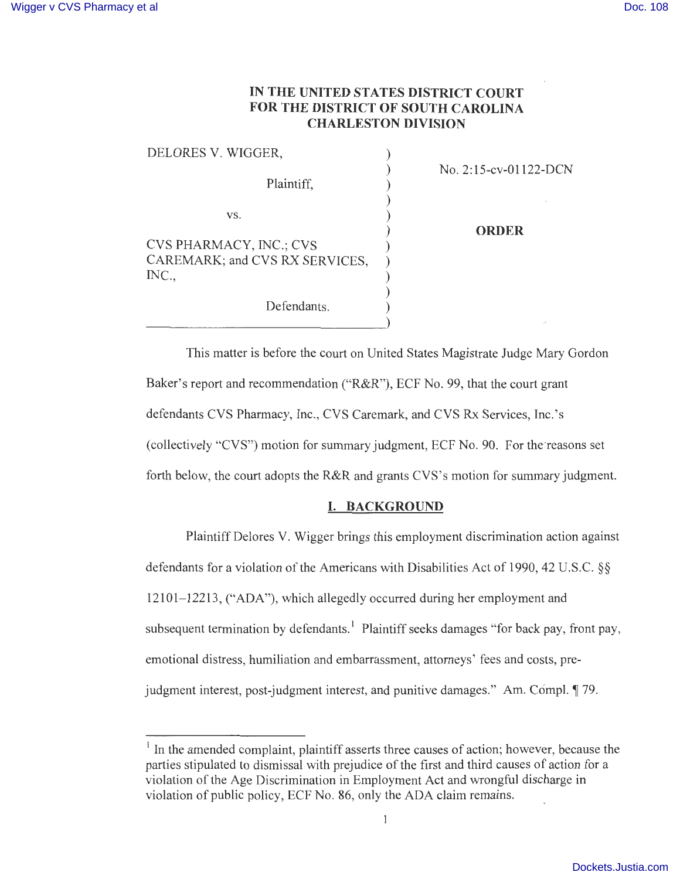# **IN THE UNITED STATES DISTRICT COURT FOR THE DISTRICT OF SOUTH CAROLINA CHARLESTON DIVISION**

| DELORES V. WIGGER,             |                       |
|--------------------------------|-----------------------|
|                                | No. 2:15-cv-01122-DCN |
| Plaintiff,                     |                       |
|                                |                       |
| VS.                            |                       |
|                                | <b>ORDER</b>          |
| <b>CVS PHARMACY, INC.; CVS</b> |                       |
| CAREMARK; and CVS RX SERVICES, |                       |
| INC.,                          |                       |
|                                |                       |
| Defendants.                    |                       |
|                                |                       |

This matter is before the court on United States Magistrate Judge Mary Gordon Baker's report and recommendation ("R&R"), ECF No. 99, that the court grant defendants CVS Pharmacy, Inc., CVS Caremark, and CVS Rx Services, Inc.'s (collectively "CVS") motion for summary judgment, ECF No. 90. For the-reasons set forth below, the court adopts the R&R and grants CVS's motion for summary judgment.

### **I. BACKGROUND**

Plaintiff Delores V. Wigger brings this employment discrimination action against defendants for a violation of the Americans with Disabilities Act of 1990, 42 U.S.C. §§ 12101-12213, ("ADA"), which allegedly occurred during her employment and subsequent termination by defendants.<sup>1</sup> Plaintiff seeks damages "for back pay, front pay, emotional distress, humiliation and embarrassment, attorneys' fees and costs, prejudgment interest, post-judgment interest, and punitive damages." Am. Compl. 179.

<sup>&</sup>lt;sup>1</sup> In the amended complaint, plaintiff asserts three causes of action; however, because the parties stipulated to dismissal with prejudice of the first and third causes of action for a violation of the Age Discrimination in Employment Act and wrongful discharge in violation of public policy, ECF No. 86, only the ADA claim remains.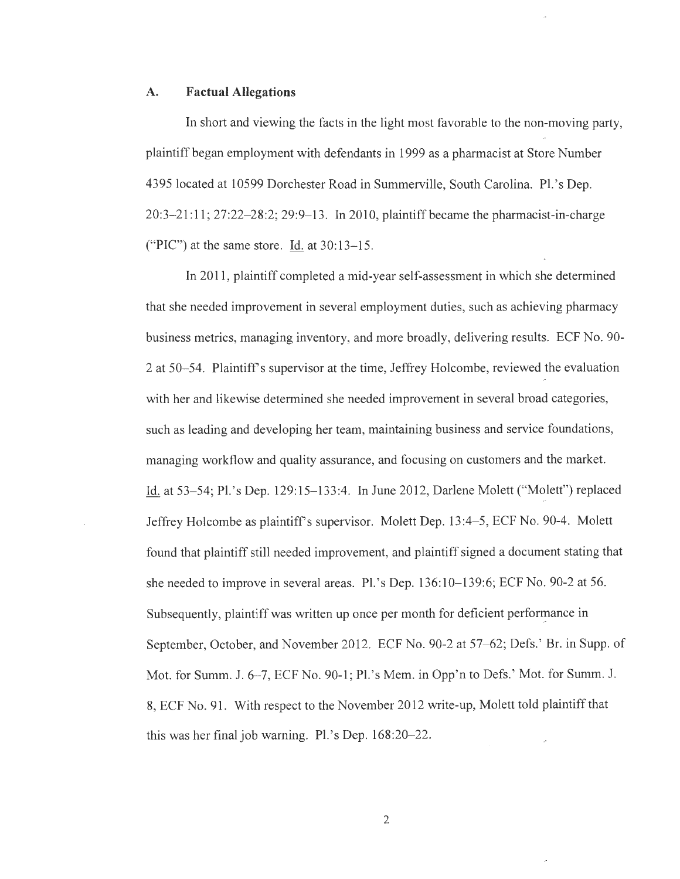#### **A. Factual Allegations**

In short and viewing the facts in the light most favorable to the non-moving party, plaintiff began employment with defendants in 1999 as a pharmacist at Store Number 4395 located at 10599 Dorchester Road in Summerville, South Carolina. Pl.'s Dep. 20:3-21:11; 27:22-28:2; 29:9-13. In 2010, plaintiff became the pharmacist-in-charge ("PIC") at the same store. Id. at  $30:13-15$ .

In 2011 , plaintiff completed a mid-year self-assessment in which she determined that she needed improvement in several employment duties, such as achieving pharmacy business metrics, managing inventory, and more broadly, delivering results. ECF No. 90- 2 at 50- 54. Plaintiff's supervisor at the time, Jeffrey Holcombe, reviewed the evaluation with her and likewise determined she needed improvement in several broad categories, such as leading and developing her team, maintaining business and service foundations, managing workflow and quality assurance, and focusing on customers and the market. Id. at 53–54; Pl.'s Dep. 129:15–133:4. In June 2012, Darlene Molett ("Molett") replaced Jeffrey Holcombe as plaintiff's supervisor. Molett Dep. 13:4–5, ECF No. 90-4. Molett found that plaintiff still needed improvement, and plaintiff signed a document stating that she needed to improve in several areas. Pl.'s Dep. 136:10–139:6; ECF No. 90-2 at 56. Subsequently, plaintiff was written up once per month for deficient performance in September, October, and November 2012. ECF No. 90-2 at 57–62; Defs.' Br. in Supp. of Mot. for Summ. J. 6-7, ECF No. 90-1; Pl.'s Mem. in Opp'n to Defs.' Mot. for Summ. J. 8, ECF No. 91. With respect to the November 2012 write-up, Molett told plaintiff that this was her final job warning. Pl.'s Dep.  $168:20-22$ .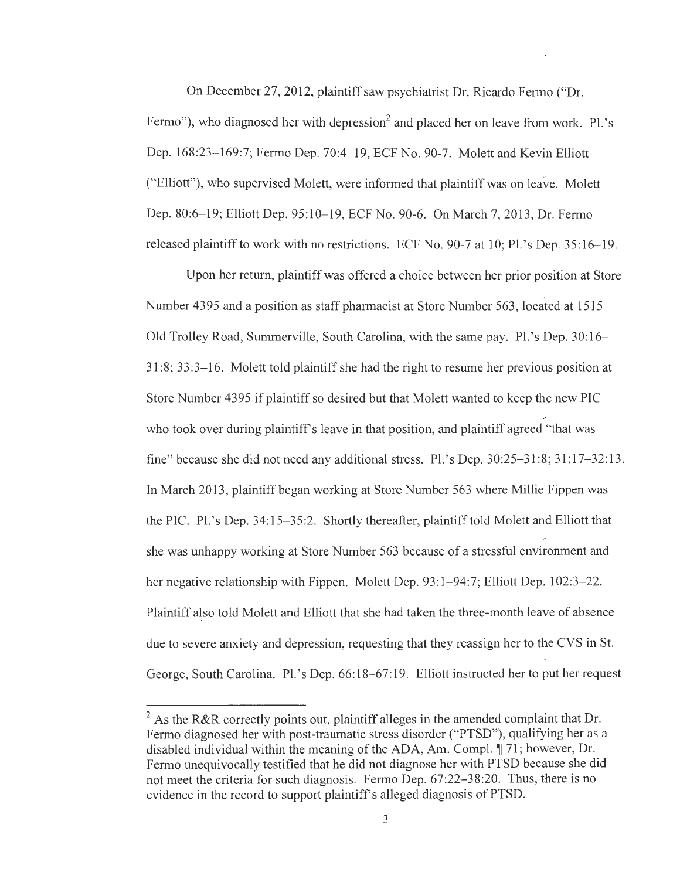On December 27, 2012, plaintiff saw psychiatrist Dr. Ricardo Fermo ("Dr. Fermo"), who diagnosed her with depression<sup>2</sup> and placed her on leave from work. Pl.'s Dep. 168:23-169:7; Fermo Dep. 70:4-19, ECF No. 90-7. Molett and Kevin Elliott ("Elliott"), who supervised Molett, were informed that plaintiff was on leave. Molett Dep. 80:6-19; Elliott Dep. 95:10-19, ECF No. 90-6. On March 7, 2013, Dr. Fermo released plaintiff to work with no restrictions. ECF No. 90-7 at 10; Pl.'s Dep. 35:16-19.

Upon her return, plaintiff was offered a choice between her prior position at Store Number 4395 and a position as staff pharmacist at Store Number 563, located at 1515 Old Trolley Road, Summerville, South Carolina, with the same pay. Pl.'s Dep. 30:16- 31 :8; 33 :3- 16. Molett told plaintiff she had the right to resume her previous position at Store Number 4395 if plaintiff so desired but that Molett wanted to keep the new PIC who took over during plaintiff's leave in that position, and plaintiff agreed "that was fine" because she did not need any additional stress. Pl.'s Dep. 30:25–31:8; 31:17–32:13. In March 2013, plaintiff began working at Store Number 563 where Millie Pippen was the PIC. Pl.'s Dep. 34:15–35:2. Shortly thereafter, plaintiff told Molett and Elliott that she was unhappy working at Store Number 563 because of a stressful environment and her negative relationship with Fippen. Molett Dep. 93:1–94:7; Elliott Dep. 102:3–22. Plaintiff also told Molett and Elliott that she had taken the three-month leave of absence due to severe anxiety and depression, requesting that they reassign her to the CVS in St. George, South Carolina. Pl.'s Dep. 66:18-67:19. Elliott instructed her to put her request

 $2$  As the R&R correctly points out, plaintiff alleges in the amended complaint that Dr. Fermo diagnosed her with post-traumatic stress disorder ("PTSD"), qualifying her as a disabled individual within the meaning of the ADA, Am. Compl.  $\P$  71; however, Dr. Fermo unequivocally testified that he did not diagnose her with PTSD because she did not meet the criteria for such diagnosis. Fermo Dep. 67:22-38:20. Thus, there is no evidence in the record to support plaintiff's alleged diagnosis of PTSD.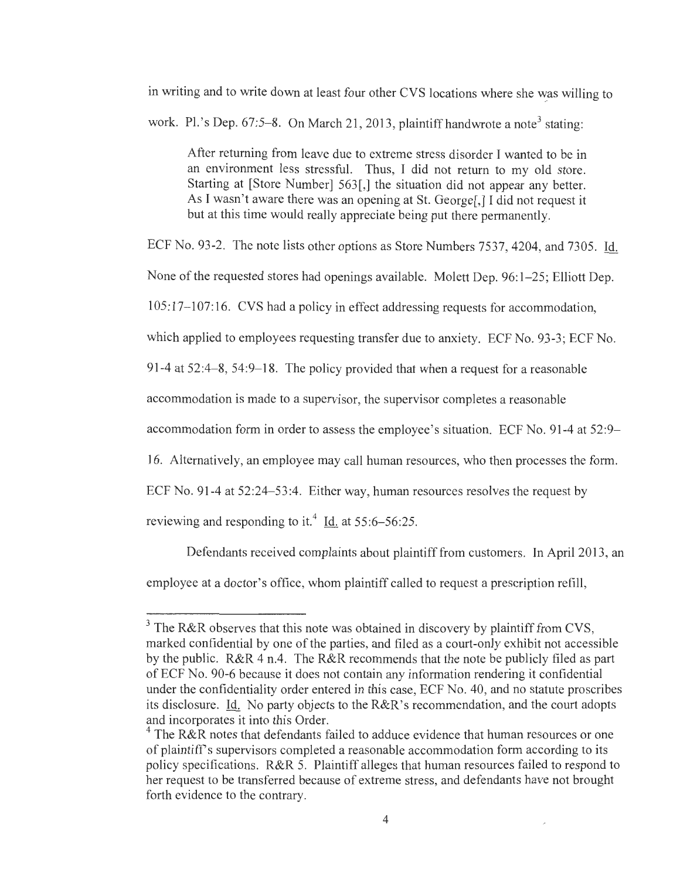in writing and to write down at least four other CVS locations where she was willing to work. Pl.'s Dep.  $67:5-8$ . On March 21, 2013, plaintiff handwrote a note<sup>3</sup> stating:

After returning from leave due to extreme stress disorder I wanted to be in an environment less stressful. Thus, I did not return to my old store. Starting at [Store Number] 563[,] the situation did not appear any better. As I wasn't aware there was an opening at St. George[,] I did not request it but at this time would really appreciate being put there permanently.

ECF No. 93-2. The note lists other options as Store Numbers 7537, 4204, and 7305 . Id.

None of the requested stores had openings available. Molett Dep. 96:1-25; Elliott Dep.

105: 17-107: 16. CVS had a policy in effect addressing requests for accommodation,

which applied to employees requesting transfer due to anxiety. ECF No. 93-3; ECF No.

91-4 at  $52:4-8$ ,  $54:9-18$ . The policy provided that when a request for a reasonable

accommodation is made to a supervisor, the supervisor completes a reasonable

accommodation form in order to assess the employee 's situation. ECF No. 91 -4 at 52:9-

16. Alternatively, an employee may call human resources, who then processes the form.

ECF No. 91 -4 at 52:24-53:4. Either way, human resources resolves the request by

reviewing and responding to it.<sup>4</sup> Id. at  $55:6 - 56:25$ .

Defendants received complaints about plaintiff from customers. In April 2013, an employee at a doctor's office, whom plaintiff called to request a prescription refill,

 $3$  The R&R observes that this note was obtained in discovery by plaintiff from CVS, marked confidential by one of the parties, and filed as a court-only exhibit not accessible by the public. R&R 4 n.4. The R&R recommends that the note be publicly filed as part of ECF No. 90-6 because it does not contain any information rendering it confidential under the confidentiality order entered in this case, ECF No. 40, and no statute proscribes its disclosure. Id. No party objects to the  $R\&R\&S$  recommendation, and the court adopts and incorporates it into this Order.

 $4$  The R&R notes that defendants failed to adduce evidence that human resources or one of plaintiffs supervisors completed a reasonable accommodation form according to its policy specifications. R&R 5. Plaintiff alleges that human resources failed to respond to her request to be transferred because of extreme stress, and defendants have not brought forth evidence to the contrary.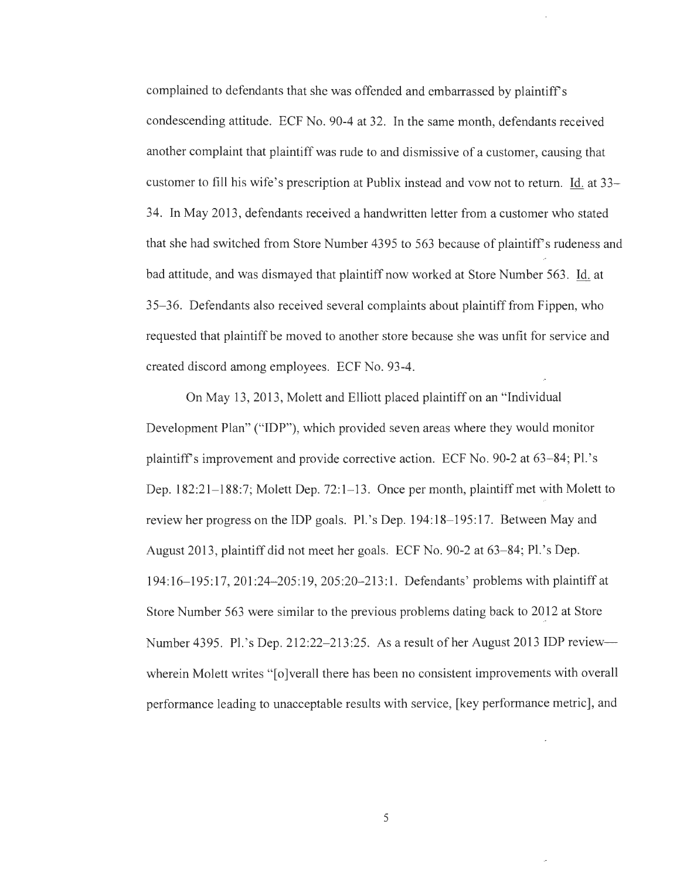complained to defendants that she was offended and embarrassed by plaintiff's condescending attitude. ECF No. 90-4 at 32. In the same month, defendants received another complaint that plaintiff was rude to and dismissive of a customer, causing that customer to fill his wife's prescription at Publix instead and vow not to return. Id. at 33- 34. In May 2013 , defendants received a handwritten letter from a customer who stated that she had switched from Store Number 4395 to 563 because of plaintiff's rudeness and bad attitude, and was dismayed that plaintiff now worked at Store Number 563 . Id. at 35- 36. Defendants also received several complaints about plaintiff from Fippen, who requested that plaintiff be moved to another store because she was unfit for service and created discord among employees. ECF No. 93-4.

On May 13, 2013, Molett and Elliott placed plaintiff on an "Individual Development Plan" ("IDP"), which provided seven areas where they would monitor plaintiffs improvement and provide corrective action. ECF No. 90-2 at 63-84; Pl. 's Dep. 182:21–188:7; Molett Dep. 72:1–13. Once per month, plaintiff met with Molett to review her progress on the IDP goals. Pl.'s Dep. 194:18-195:17. Between May and August 2013, plaintiff did not meet her goals. ECF No. 90-2 at 63–84; Pl.'s Dep. 194: 16- 195: 17, 201 :24-205: 19, 205 :20-213: 1. Defendants' problems with plaintiff at Store Number 563 were similar to the previous problems dating back to 2012 at Store Number 4395. Pl.'s Dep. 212:22-213:25. As a result of her August 2013 IDP reviewwherein Molett writes "[o]verall there has been no consistent improvements with overall performance leading to unacceptable results with service, [key performance metric], and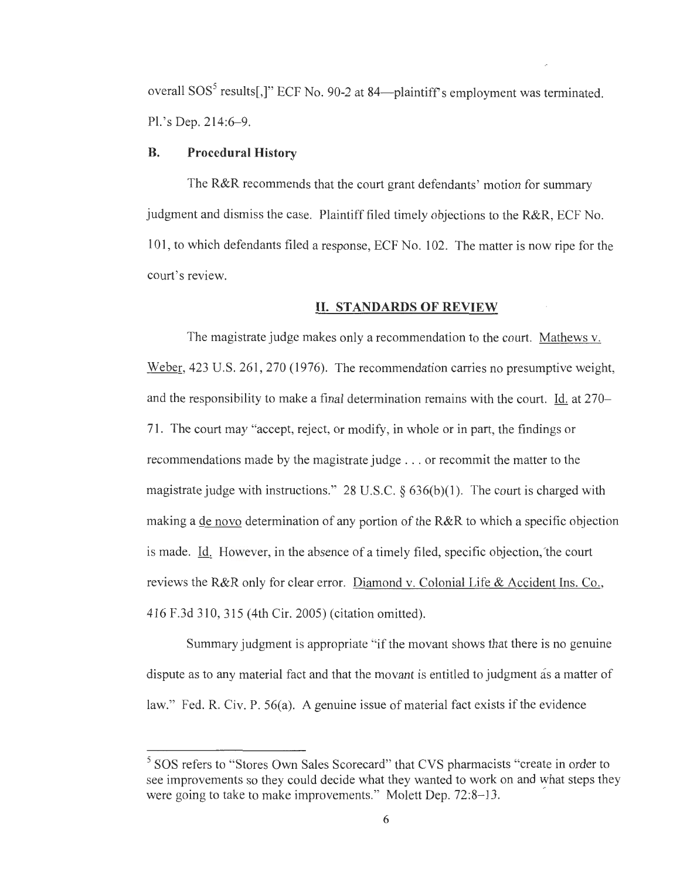overall SOS<sup>5</sup> results[,]" ECF No. 90-2 at 84—plaintiff's employment was terminated. Pl. 's Dep. 214:6-9.

#### **B. Procedural History**

The R&R recommends that the court grant defendants' motion for summary judgment and dismiss the case. Plaintiff filed timely objections to the R&R, ECF No. 101 , to which defendants filed a response, ECF No. 102. The matter is now ripe for the court's review.

### **II. STANDARDS OF REVIEW**

The magistrate judge makes only a recommendation to the court. Mathews v. Weber, 423 U.S. 261, 270 (1976). The recommendation carries no presumptive weight, and the responsibility to make a final determination remains with the court. Id. at 270- 71 . The court may "accept, reject, or modify, in whole or in part, the findings or recommendations made by the magistrate judge ... or recommit the matter to the magistrate judge with instructions." 28 U.S.C.  $\S$  636(b)(1). The court is charged with making a de novo determination of any portion of the R&R to which a specific objection is made. Id. However, in the absence of a timely filed, specific objection, 'the court reviews the R&R only for clear error. Diamond v. Colonial Life & Accident Ins. Co., 416 F .3d 310, 315 ( 4th Cir. 2005) ( citation omitted).

Summary judgment is appropriate "if the movant shows that there is no genuine dispute as to any material fact and that the movant is entitled to judgment as a matter of law." Fed. R. Civ. P. 56(a). A genuine issue of material fact exists if the evidence

<sup>&</sup>lt;sup>5</sup> SOS refers to "Stores Own Sales Scorecard" that CVS pharmacists "create in order to see improvements so they could decide what they wanted to work on and what steps they were going to take to make improvements." Molett Dep. 72:8–13.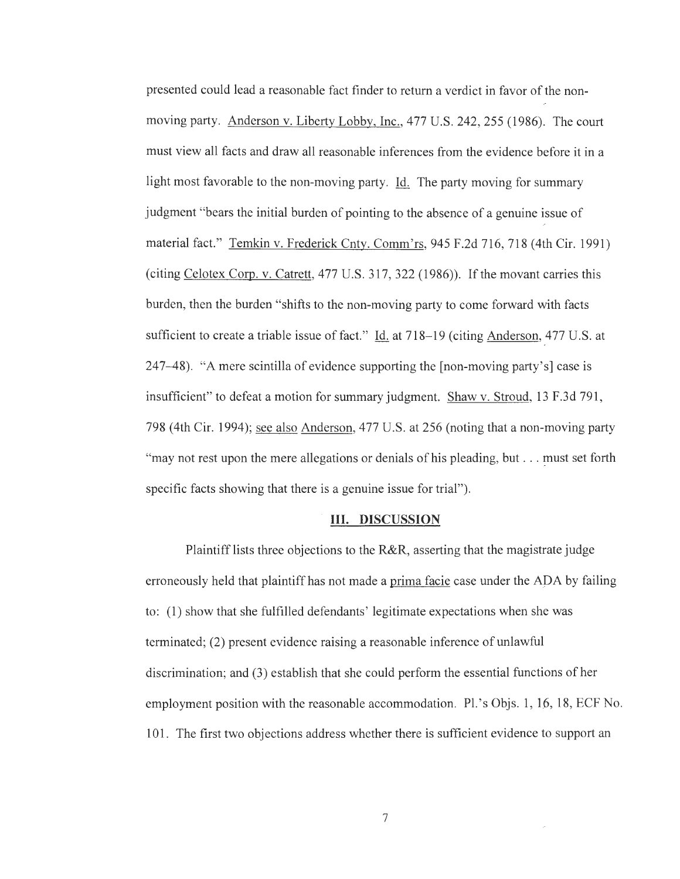presented could lead a reasonable fact finder to return a verdict in favor of the nonmoving party. Anderson v. Liberty Lobby, Inc., 477 U.S. 242, 255 (1986). The court must view all facts and draw all reasonable inferences from the evidence before it in a light most favorable to the non-moving party. Id. The party moving for summary judgment "bears the initial burden of pointing to the absence of a genuine issue of material fact." Temkin v. Frederick Cnty. Comm'rs, 945 F.2d 716, 718 (4th Cir. 1991) (citing Celotex Corp. v. Catrett, 477 U.S. 317, 322 (1986)). If the movant carries this burden, then the burden "shifts to the non-moving party to come forward with facts sufficient to create a triable issue of fact." Id. at 718–19 (citing Anderson, 477 U.S. at 247-48). "A mere scintilla of evidence supporting the [non-moving party's] case is insufficient" to defeat a motion for summary judgment. Shaw v. Stroud, 13 F.3d 791, 798 (4th Cir. 1994); see also Anderson, 477 U.S. at 256 (noting that a non-moving party "may not rest upon the mere allegations or denials of his pleading, but  $\ldots$  must set forth specific facts showing that there is a genuine issue for trial").

#### **III. DISCUSSION**

Plaintiff lists three objections to the **R&R,** asserting that the magistrate judge erroneously held that plaintiff has not made a prima facie case under the APA by failing to: (1) show that she fulfilled defendants' legitimate expectations when she was terminated; (2) present evidence raising a reasonable inference of unlawful discrimination; and (3) establish that she could perform the essential functions of her employment position with the reasonable accommodation. Pl. 's Objs. 1, 16, 18, ECF No. 101. The first two objections address whether there is sufficient evidence to support an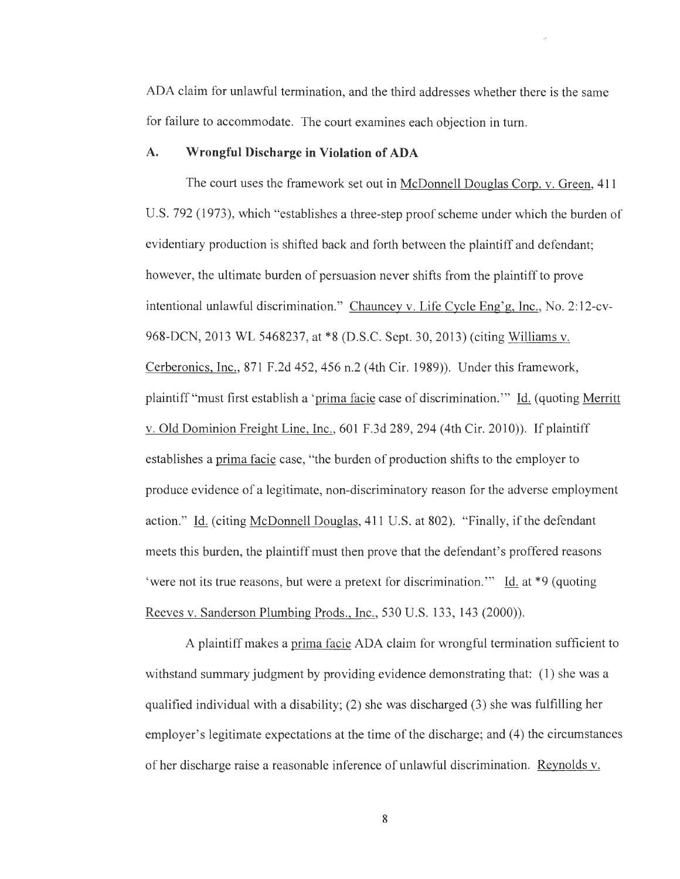ADA claim for unlawful termination, and the third addresses whether there is the same for failure to accommodate. The court examines each objection in turn.

### **A. Wrongful Discharge in Violation of ADA**

The court uses the framework set out in McDonnell Douglas Corp. v. Green, 411 U.S. 792 (1973), which "establishes a three-step proof scheme under which the burden of evidentiary production is shifted back and forth between the plaintiff and defendant; however, the ultimate burden of persuasion never shifts from the plaintiff to prove intentional unlawful discrimination." Chauncey v. Life Cycle Eng'g, Inc., No. 2: 12-cv-968-DCN, 2013 WL 5468237, at \*8 (D.S.C. Sept. 30, 2013) (citing Williams v. Cerberonics, Inc., 871 F.2d 452,456 n.2 (4th Cir. 1989)). Under this framework, plaintiff "must first establish a 'prima facie case of discrimination. "' Id. ( quoting Merritt v. Old Dominion Freight Line, Inc., 601 F.3d 289, 294 (4th Cir. 2010)). If plaintiff establishes a prima facie case, "the burden of production shifts to the employer to produce evidence of a legitimate, non-discriminatory reason for the adverse employment action." Id. (citing McDonnell Douglas, 411 U.S. at 802). "Finally, if the defendant meets this burden, the plaintiff must then prove that the defendant's proffered reasons 'were not its true reasons, but were a pretext for discrimination."  $\underline{Id}$  at \*9 (quoting Reeves v. Sanderson Plumbing Prods., Inc., 530 U.S. 133, 143 (2000)).

A plaintiff makes a prima facie ADA claim for wrongful termination sufficient to withstand summary judgment by providing evidence demonstrating that: (1) she was a qualified individual with a disability; (2) she was discharged (3) she was fulfilling her employer's legitimate expectations at the time of the discharge; and (4) the circumstances of her discharge raise a reasonable inference of unlawful discrimination. Reynolds v.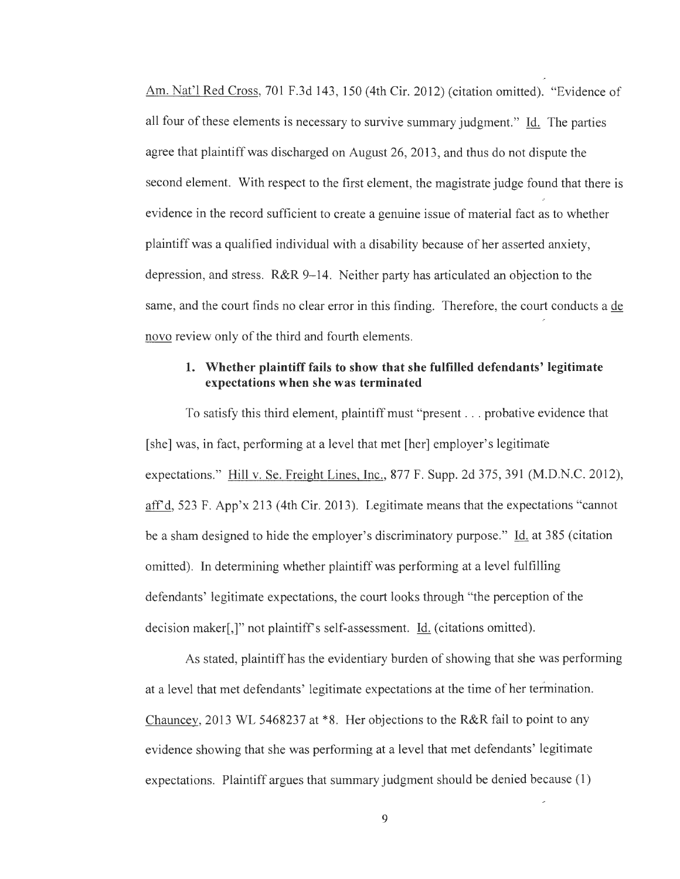Am. Nat'l Red Cross, 701 F.3d 143, 150 (4th Cir. 2012) (citation omitted). "Evidence of all four of these elements is necessary to survive summary judgment." Id. The parties agree that plaintiff was discharged on August 26, 2013, and thus do not dispute the second element. With respect to the first element, the magistrate judge found that there is evidence in the record sufficient to create a genuine issue of material fact as to whether plaintiff was a qualified individual with a disability because of her asserted anxiety, depression, and stress. R&R 9-14. Neither party has articulated an objection to the same, and the court finds no clear error in this finding. Therefore, the court conducts a de novo review only of the third and fourth elements.

## **1. Whether plaintiff fails to show that she fulfilled defendants' legitimate expectations when she was terminated**

To satisfy this third element, plaintiff must "present ... probative evidence that [she] was, in fact, performing at a level that met [her] employer's legitimate expectations." Hill v. Se. Freight Lines, Inc., 877 F. Supp. 2d 375, 391 (M.D.N.C. 2012), aff'd, 523 F. App'x 213 (4th Cir. 2013). Legitimate means that the expectations "cannot be a sham designed to hide the employer's discriminatory purpose." Id. at 385 (citation omitted). In determining whether plaintiff was performing at a level fulfilling defendants' legitimate expectations, the court looks through "the perception of the decision maker[,]" not plaintiff's self-assessment. Id. ( citations omitted).

As stated, plaintiff has the evidentiary burden of showing that she was performing at a level that met defendants' legitimate expectations at the time of her termination. Chauncey, 2013 WL 5468237 at \*8. Her objections to the R&R fail to point to any evidence showing that she was performing at a level that met defendants' legitimate expectations. Plaintiff argues that summary judgment should be denied because (1)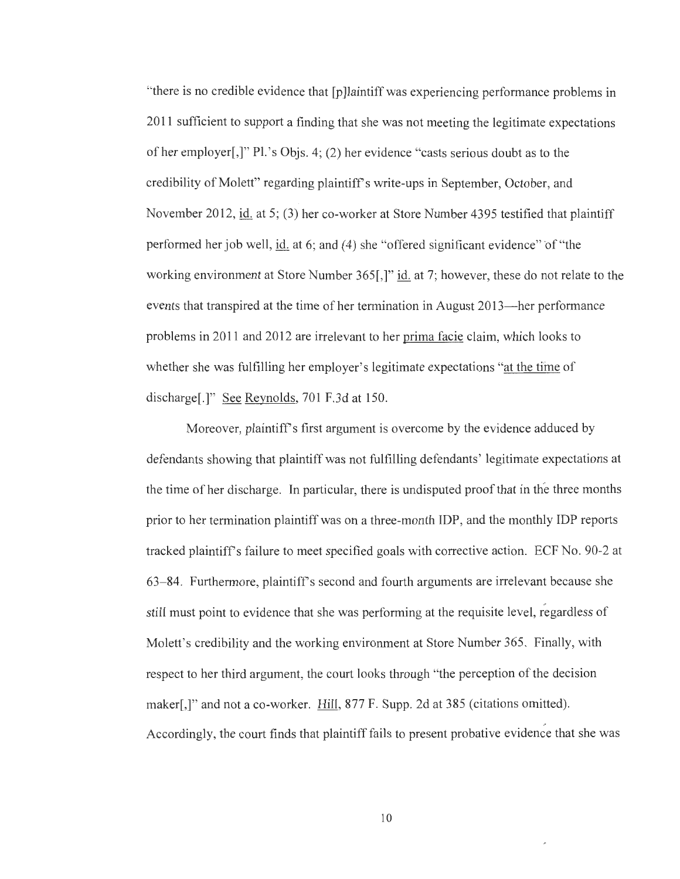"there is no credible evidence that [p ]laintiff was experiencing performance problems in 2011 sufficient to support a finding that she was not meeting the legitimate expectations of her employer[,]" Pl.'s Objs. 4; (2) her evidence "casts serious doubt as to the credibility of Molett" regarding plaintiff's write-ups in September, October, and November 2012, id. at 5; (3) her co-worker at Store Number 4395 testified that plaintiff performed her job well, id. at 6; and (4) she "offered significant evidence" of "the working environment at Store Number 365[,]" id. at 7; however, these do not relate to the events that transpired at the time of her termination in August 2013-her performance problems in 2011 and 2012 are irrelevant to her prima facie claim, which looks to whether she was fulfilling her employer's legitimate expectations "at the time of discharge[.]" See Reynolds, 701 F.3d at 150.

Moreover, plaintiff's first argument is overcome by the evidence adduced by defendants showing that plaintiff was not fulfilling defendants' legitimate expectations at the time of her discharge. In particular, there is undisputed proof that in the three months prior to her termination plaintiff was on a three-month IDP, and the monthly IDP reports tracked plaintiff's failure to meet specified goals with corrective action. ECF No. 90-2 at 63- 84. Furthermore, plaintiff's second and fourth arguments are irrelevant because she still must point to evidence that she was performing at the requisite level, regardless of Molett's credibility and the working environment at Store Number 365. Finally, with respect to her third argument, the court looks through "the perception of the decision maker[,]" and not a co-worker. Hill, 877 F. Supp. 2d at 385 (citations omitted). Accordingly, the court finds that plaintiff fails to present probative evidence that she was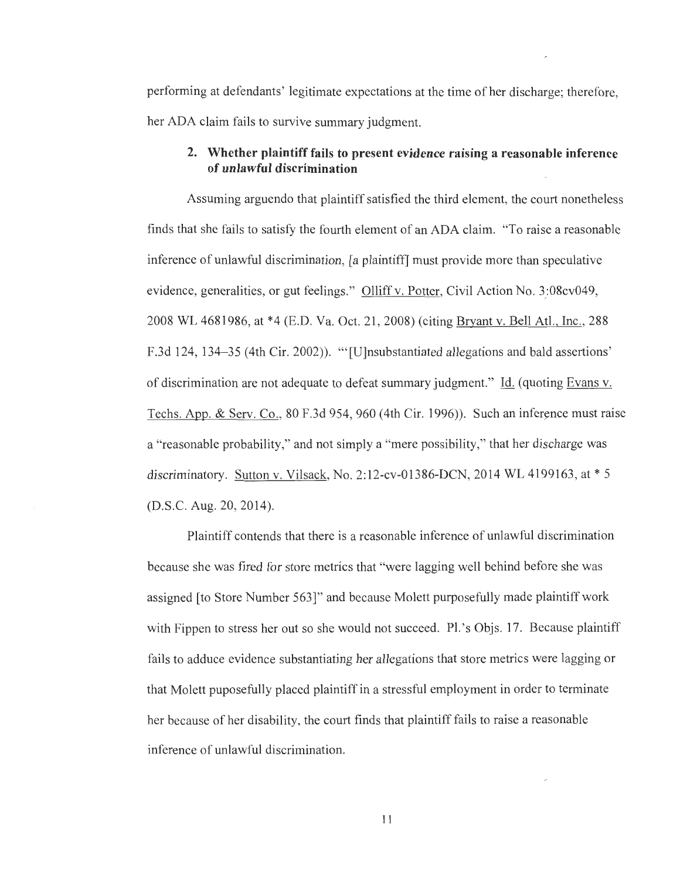performing at defendants' legitimate expectations at the time of her discharge; therefore, her ADA claim fails to survive summary judgment.

### **2. Whether plaintiff fails to present evidence raising a reasonable inference of unlawful discrimination**

Assuming arguendo that plaintiff satisfied the third element, the court nonetheless finds that she fails to satisfy the fourth element of an ADA claim. "To raise a reasonable inference of unlawful discrimination, [a plaintiff] must provide more than speculative evidence, generalities, or gut feelings." Olliff v. Potter, Civil Action No. 3:08cv049, 2008 WL 4681986, at \*4 (E.D. Va. Oct. 21 , 2008) (citing Bryant v. Bell Atl., Inc., 288 F.3d 124, 134-35 (4th Cir. 2002)). "'[U]nsubstantiated allegations and bald assertions' of discrimination are not adequate to defeat summary judgment." Id. (quoting Evans v. Techs. App. & Serv. Co.,  $80$  F.3d 954, 960 (4th Cir. 1996)). Such an inference must raise a "reasonable probability," and not simply a "mere possibility," that her discharge was discriminatory. Sutton v. Vilsack, No. 2:12-cv-01386-DCN, 2014 WL 4199163, at \* 5 (D.S.C. Aug. 20, 2014).

Plaintiff contends that there is a reasonable inference of unlawful discrimination because she was fired for store metrics that "were lagging well behind before she was assigned [to Store Number 563] " and because Molett purposefully made plaintiff work with Fippen to stress her out so she would not succeed. Pl.'s Objs. 17. Because plaintiff fails to adduce evidence substantiating her allegations that store metrics were lagging or that Molett puposefully placed plaintiff in a stressful employment in order to terminate her because of her disability, the court finds that plaintiff fails to raise a reasonable inference of unlawful discrimination.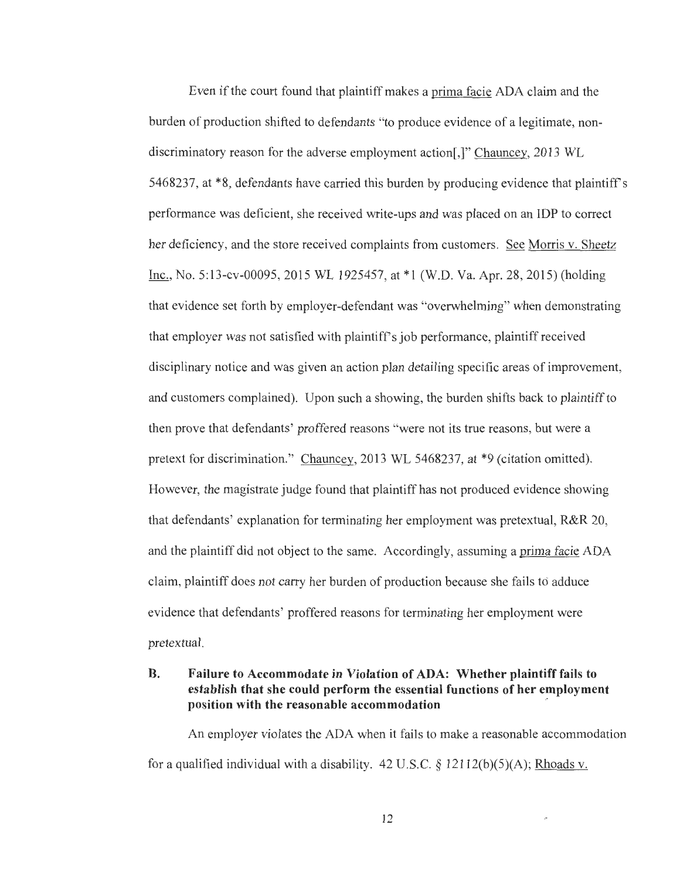Even if the court found that plaintiff makes a prima facie ADA claim and the burden of production shifted to defendants "to produce evidence of a legitimate, nondiscriminatory reason for the adverse employment action[,]" Chauncey, 2013 WL 5468237, at \*8, defendants have carried this burden by producing evidence that plaintiffs performance was deficient, she received write-ups and was placed on an IDP to correct her deficiency, and the store received complaints from customers. See Morris v. Sheetz Inc., No. 5:13-cv-00095, 2015 WL 1925457, at \*1 (W.D. Va. Apr. 28, 2015) (holding that evidence set forth by employer-defendant was "overwhelming" when demonstrating that employer was not satisfied with plaintiff's job performance, plaintiff received disciplinary notice and was given an action plan detailing specific areas of improvement, and customers complained). Upon such a showing, the burden shifts back to plaintiff to then prove that defendants' proffered reasons "were not its true reasons, but were a pretext for discrimination." Chauncey, 2013 WL 5468237, at \*9 (citation omitted). However, the magistrate judge found that plaintiff has not produced evidence showing that defendants' explanation for terminating her employment was pretextual, R&R 20, and the plaintiff did not object to the same. Accordingly, assuming a prima facie ADA claim, plaintiff does not carry her burden of production because she fails to adduce evidence that defendants' proffered reasons for terminating her employment were pretextual.

## **B. Failure to Accommodate in Violation of ADA: Whether plaintiff fails to establish that she could perform the essential functions of her employment position with the reasonable accommodation** ·

An employer violates the ADA when it fails to make a reasonable accommodation for a qualified individual with a disability.  $42 \text{ U.S.C.}$  §  $12112(b)(5)(A)$ ; Rhoads v.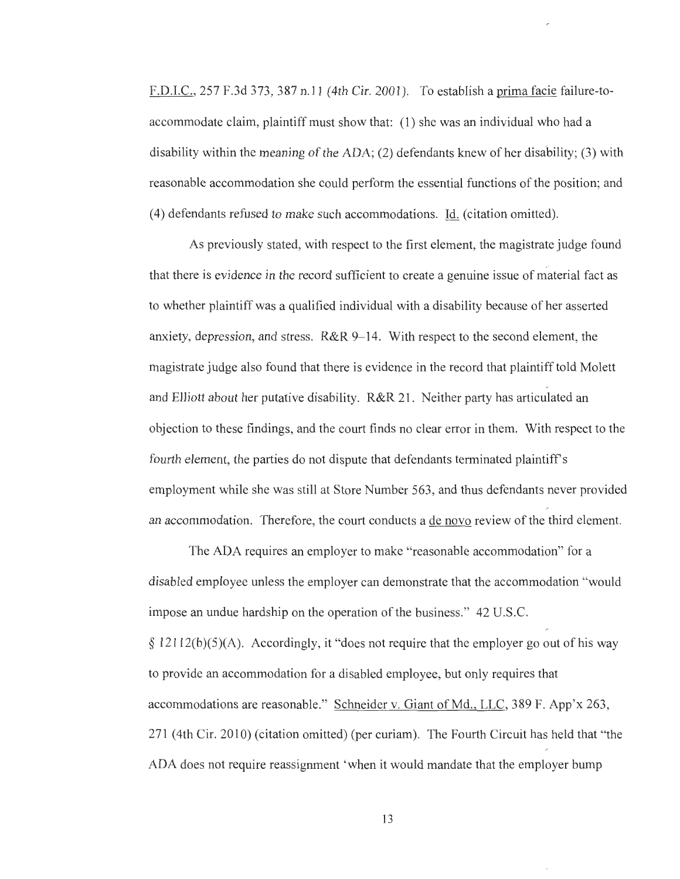F.D.I.C., 257 F.3d 373,387 n.11 (4th Cir. 2001). To establish a prima facie failure-toaccommodate claim, plaintiff must show that: (1) she was an individual who had a disability within the meaning of the ADA; (2) defendants knew of her disability; (3) with reasonable accommodation she could perform the essential functions of the position; and ( 4) defendants refused to make such accommodations. Id. ( citation omitted).

As previously stated, with respect to the first element, the magistrate judge found that there is evidence in the record sufficient to create a genuine issue of material fact as to whether plaintiff was a qualified individual with a disability because of her asserted anxiety, depression, and stress. R&R 9-14. With respect to the second element, the magistrate judge also found that there is evidence in the record that plaintiff told Molett and Elliott about her putative disability. R&R 21. Neither party has articulated an objection to these findings, and the court finds no clear error in them. With respect to the fourth element, the parties do not dispute that defendants terminated plaintiff's employment while she was still at Store Number 563, and thus defendants never provided an accommodation. Therefore, the court conducts a de novo review of the third element.

The ADA requires an employer to make "reasonable accommodation" for a disabled employee unless the employer can demonstrate that the accommodation "would impose an undue hardship on the operation of the business." 42 U.S.C. § 12112(b)(5)(A). Accordingly, it "does not require that the employer go out of his way to provide an accommodation for a disabled employee, but only requires that accommodations are reasonable." Schneider v. Giant of Md., LLC, 389 F. App'x 263, 271 (4th Cir. 2010) (citation omitted) (per curiam). The Fourth Circuit has held that "the ADA does not require reassignment 'when it would mandate that the employer bump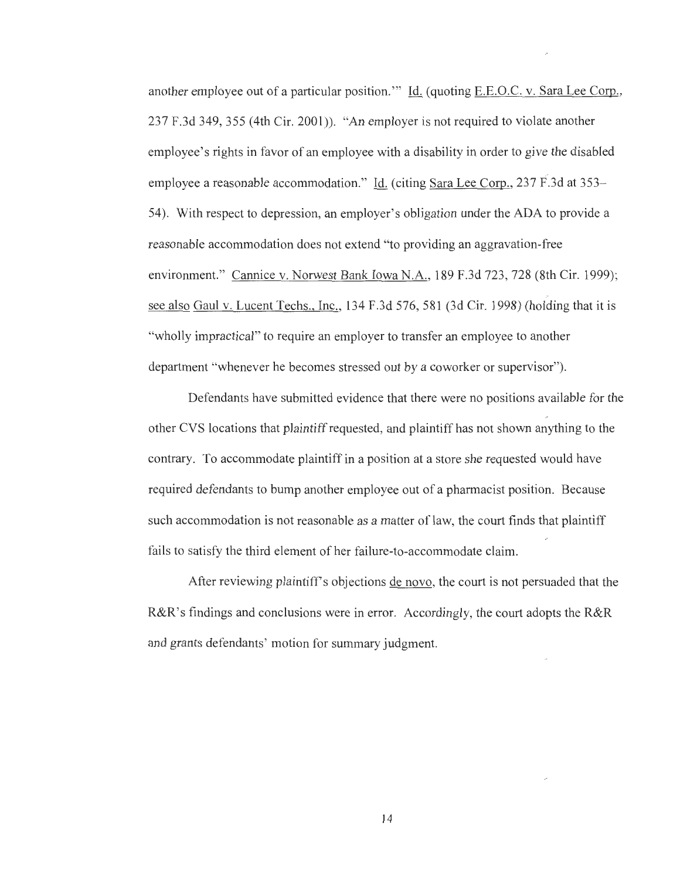another employee out of a particular position. "' Id. (quoting E.E.O.C. v. Sara Lee Corp., 237 F.3d 349, 355 (4th Cir. 2001)). "An employer is not required to violate another employee's rights in favor of an employee with a disability in order to give the disabled employee a reasonable accommodation." Id. (citing Sara Lee Corp., 237 F.3d at 353– 54). With respect to depression, an employer's obligation under the ADA to provide a reasonable accommodation does not extend "to providing an aggravation-free environment." Cannice v. Norwest Bank Iowa N.A., 189 F.3d 723, 728 (8th Cir. 1999); see also Gaul v. Lucent Techs., Inc., 134 F.3d 576, 581 (3d Cir. 1998) (holding that it is "wholly impractical" to require an employer to transfer an employee to another department "whenever he becomes stressed out by a coworker or supervisor").

Defendants have submitted evidence that there were no positions available for the other CVS locations that plaintiff requested, and plaintiff has not shown anything to the contrary. To accommodate plaintiff in a position at a store she requested would have required defendants to bump another employee out of a pharmacist position. Because such accommodation is not reasonable as a matter of law, the court finds that plaintiff fails to satisfy the third element of her failure-to-accommodate claim.

After reviewing plaintiff's objections de novo, the court is not persuaded that the R&R's findings and conclusions were in error. Accordingly, the court adopts the R&R and grants defendants' motion for summary judgment.